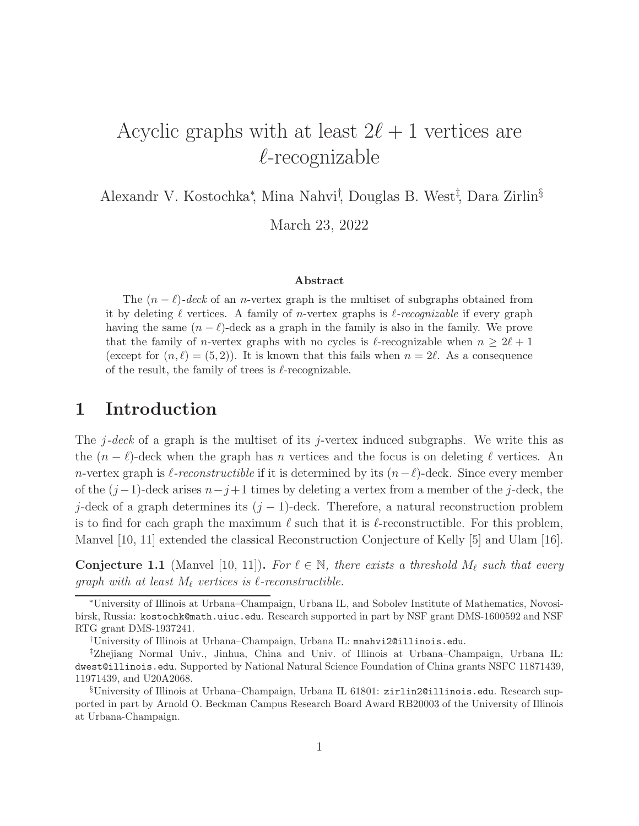# Acyclic graphs with at least  $2\ell+1$  vertices are  $\ell$ -recognizable

Alexandr V. Kostochka<sup>∗</sup> , Mina Nahvi† , Douglas B. West‡ , Dara Zirlin§

March 23, 2022

#### Abstract

The  $(n - \ell)$ -deck of an n-vertex graph is the multiset of subgraphs obtained from it by deleting ℓ vertices. A family of n-vertex graphs is ℓ*-recognizable* if every graph having the same  $(n - \ell)$ -deck as a graph in the family is also in the family. We prove that the family of *n*-vertex graphs with no cycles is  $\ell$ -recognizable when  $n \geq 2\ell + 1$ (except for  $(n, \ell) = (5, 2)$ ). It is known that this fails when  $n = 2\ell$ . As a consequence of the result, the family of trees is  $\ell$ -recognizable.

#### 1 Introduction

The  $j-deck$  of a graph is the multiset of its j-vertex induced subgraphs. We write this as the  $(n - \ell)$ -deck when the graph has n vertices and the focus is on deleting  $\ell$  vertices. An n-vertex graph is  $\ell$ -reconstructible if it is determined by its  $(n-\ell)$ -deck. Since every member of the  $(j-1)$ -deck arises  $n-j+1$  times by deleting a vertex from a member of the j-deck, the j-deck of a graph determines its  $(j-1)$ -deck. Therefore, a natural reconstruction problem is to find for each graph the maximum  $\ell$  such that it is  $\ell$ -reconstructible. For this problem, Manvel [10, 11] extended the classical Reconstruction Conjecture of Kelly [5] and Ulam [16].

**Conjecture 1.1** (Manvel [10, 11]). For  $\ell \in \mathbb{N}$ , there exists a threshold  $M_{\ell}$  such that every graph with at least  $M_{\ell}$  vertices is  $\ell$ -reconstructible.

<sup>∗</sup>University of Illinois at Urbana–Champaign, Urbana IL, and Sobolev Institute of Mathematics, Novosibirsk, Russia: kostochk@math.uiuc.edu. Research supported in part by NSF grant DMS-1600592 and NSF RTG grant DMS-1937241.

<sup>†</sup>University of Illinois at Urbana–Champaign, Urbana IL: mnahvi2@illinois.edu.

<sup>‡</sup>Zhejiang Normal Univ., Jinhua, China and Univ. of Illinois at Urbana–Champaign, Urbana IL: dwest@illinois.edu. Supported by National Natural Science Foundation of China grants NSFC 11871439, 11971439, and U20A2068.

<sup>§</sup>University of Illinois at Urbana–Champaign, Urbana IL 61801: zirlin2@illinois.edu. Research supported in part by Arnold O. Beckman Campus Research Board Award RB20003 of the University of Illinois at Urbana-Champaign.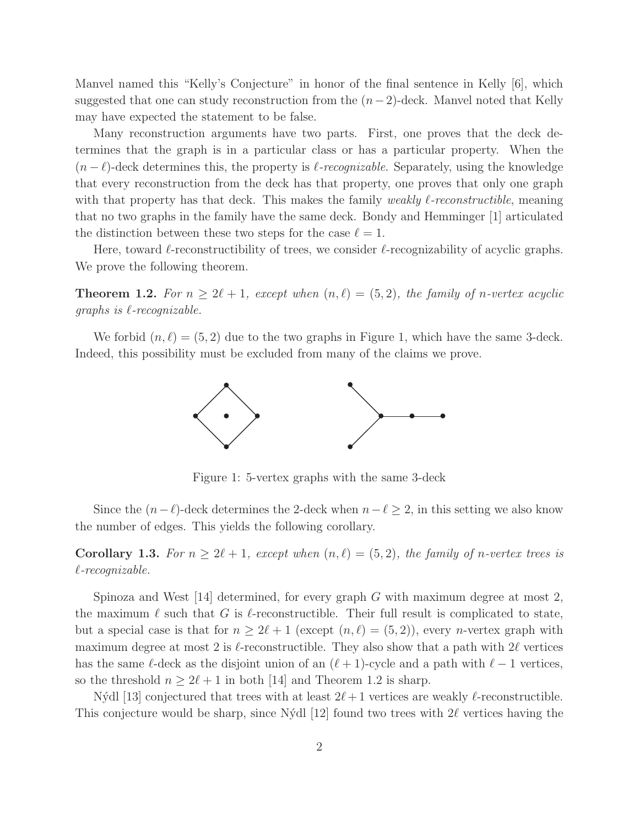Manvel named this "Kelly's Conjecture" in honor of the final sentence in Kelly [6], which suggested that one can study reconstruction from the  $(n-2)$ -deck. Manvel noted that Kelly may have expected the statement to be false.

Many reconstruction arguments have two parts. First, one proves that the deck determines that the graph is in a particular class or has a particular property. When the  $(n - \ell)$ -deck determines this, the property is  $\ell$ -recognizable. Separately, using the knowledge that every reconstruction from the deck has that property, one proves that only one graph with that property has that deck. This makes the family *weakly*  $\ell$ *-reconstructible*, meaning that no two graphs in the family have the same deck. Bondy and Hemminger [1] articulated the distinction between these two steps for the case  $\ell = 1$ .

Here, toward  $\ell$ -reconstructibility of trees, we consider  $\ell$ -recognizability of acyclic graphs. We prove the following theorem.

**Theorem 1.2.** For  $n \geq 2\ell + 1$ , except when  $(n, \ell) = (5, 2)$ , the family of n-vertex acyclic  $graphs$  is  $\ell$ -recognizable.

We forbid  $(n, \ell) = (5, 2)$  due to the two graphs in Figure 1, which have the same 3-deck. Indeed, this possibility must be excluded from many of the claims we prove.



Figure 1: 5-vertex graphs with the same 3-deck

Since the  $(n-\ell)$ -deck determines the 2-deck when  $n-\ell \geq 2$ , in this setting we also know the number of edges. This yields the following corollary.

Corollary 1.3. For  $n \geq 2\ell + 1$ , except when  $(n, \ell) = (5, 2)$ , the family of n-vertex trees is ℓ-recognizable.

Spinoza and West  $[14]$  determined, for every graph G with maximum degree at most 2, the maximum  $\ell$  such that G is  $\ell$ -reconstructible. Their full result is complicated to state, but a special case is that for  $n \geq 2\ell + 1$  (except  $(n, \ell) = (5, 2)$ ), every *n*-vertex graph with maximum degree at most 2 is  $\ell$ -reconstructible. They also show that a path with  $2\ell$  vertices has the same  $\ell$ -deck as the disjoint union of an  $(\ell + 1)$ -cycle and a path with  $\ell - 1$  vertices, so the threshold  $n \geq 2\ell + 1$  in both [14] and Theorem 1.2 is sharp.

Nýdl [13] conjectured that trees with at least  $2\ell+1$  vertices are weakly  $\ell$ -reconstructible. This conjecture would be sharp, since Nýdl [12] found two trees with  $2\ell$  vertices having the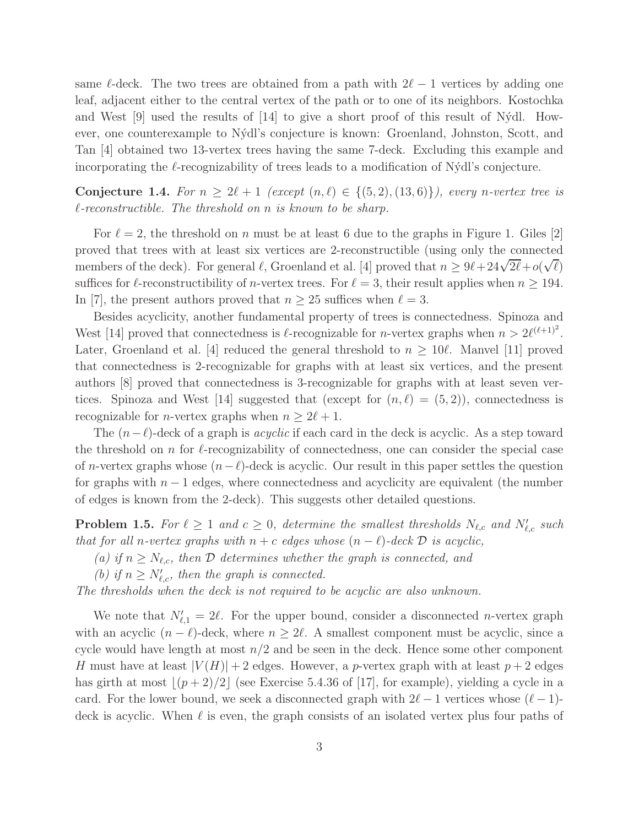same  $\ell$ -deck. The two trees are obtained from a path with  $2\ell - 1$  vertices by adding one leaf, adjacent either to the central vertex of the path or to one of its neighbors. Kostochka and West  $[9]$  used the results of  $[14]$  to give a short proof of this result of N $\acute{v}$ dl. However, one counterexample to N´ydl's conjecture is known: Groenland, Johnston, Scott, and Tan [4] obtained two 13-vertex trees having the same 7-deck. Excluding this example and incorporating the  $\ell$ -recognizability of trees leads to a modification of N $\dot{\gamma}$ dl's conjecture.

Conjecture 1.4. For  $n \geq 2\ell + 1$  (except  $(n, \ell) \in \{(5, 2), (13, 6)\}\)$ , every n-vertex tree is  $\ell$ -reconstructible. The threshold on n is known to be sharp.

For  $\ell = 2$ , the threshold on n must be at least 6 due to the graphs in Figure 1. Giles [2] proved that trees with at least six vertices are 2-reconstructible (using only the connected members of the deck). For general  $\ell$ , Groenland et al. [4] proved that  $n \geq 9\ell + 24\sqrt{2\ell} + o(\sqrt{\ell})$ suffices for  $\ell$ -reconstructibility of *n*-vertex trees. For  $\ell = 3$ , their result applies when  $n \ge 194$ . In [7], the present authors proved that  $n \geq 25$  suffices when  $\ell = 3$ .

Besides acyclicity, another fundamental property of trees is connectedness. Spinoza and West [14] proved that connectedness is  $\ell$ -recognizable for *n*-vertex graphs when  $n > 2\ell^{(\ell+1)^2}$ . Later, Groenland et al. [4] reduced the general threshold to  $n > 10\ell$ . Manvel [11] proved that connectedness is 2-recognizable for graphs with at least six vertices, and the present authors [8] proved that connectedness is 3-recognizable for graphs with at least seven vertices. Spinoza and West [14] suggested that (except for  $(n, \ell) = (5, 2)$ ), connectedness is recognizable for *n*-vertex graphs when  $n \geq 2\ell + 1$ .

The  $(n-\ell)$ -deck of a graph is *acyclic* if each card in the deck is acyclic. As a step toward the threshold on n for  $\ell$ -recognizability of connectedness, one can consider the special case of n-vertex graphs whose  $(n-\ell)$ -deck is acyclic. Our result in this paper settles the question for graphs with  $n-1$  edges, where connectedness and acyclicity are equivalent (the number of edges is known from the 2-deck). This suggests other detailed questions.

**Problem 1.5.** For  $\ell \geq 1$  and  $c \geq 0$ , determine the smallest thresholds  $N_{\ell,c}$  and  $N'_{\ell,c}$  such that for all n-vertex graphs with  $n + c$  edges whose  $(n - \ell)$ -deck  $\mathcal D$  is acyclic,

(a) if  $n \geq N_{\ell,c}$ , then  $\mathcal D$  determines whether the graph is connected, and

(b) if  $n \geq N'_{\ell,c}$ , then the graph is connected.

The thresholds when the deck is not required to be acyclic are also unknown.

We note that  $N'_{\ell,1} = 2\ell$ . For the upper bound, consider a disconnected *n*-vertex graph with an acyclic  $(n - \ell)$ -deck, where  $n \geq 2\ell$ . A smallest component must be acyclic, since a cycle would have length at most  $n/2$  and be seen in the deck. Hence some other component H must have at least  $|V(H)| + 2$  edges. However, a p-vertex graph with at least  $p + 2$  edges has girth at most  $|(p+2)/2|$  (see Exercise 5.4.36 of [17], for example), yielding a cycle in a card. For the lower bound, we seek a disconnected graph with  $2\ell - 1$  vertices whose  $(\ell - 1)$ deck is acyclic. When  $\ell$  is even, the graph consists of an isolated vertex plus four paths of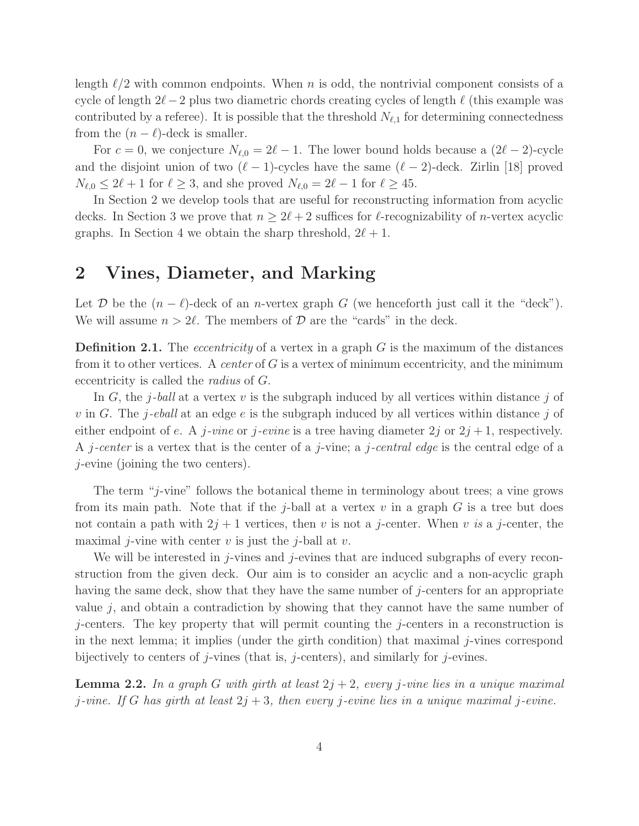length  $\ell/2$  with common endpoints. When n is odd, the nontrivial component consists of a cycle of length  $2\ell-2$  plus two diametric chords creating cycles of length  $\ell$  (this example was contributed by a referee). It is possible that the threshold  $N_{\ell,1}$  for determining connectedness from the  $(n - \ell)$ -deck is smaller.

For  $c = 0$ , we conjecture  $N_{\ell,0} = 2\ell - 1$ . The lower bound holds because a  $(2\ell - 2)$ -cycle and the disjoint union of two  $(\ell-1)$ -cycles have the same  $(\ell-2)$ -deck. Zirlin [18] proved  $N_{\ell,0} \leq 2\ell+1$  for  $\ell \geq 3$ , and she proved  $N_{\ell,0} = 2\ell-1$  for  $\ell \geq 45$ .

In Section 2 we develop tools that are useful for reconstructing information from acyclic decks. In Section 3 we prove that  $n \geq 2\ell + 2$  suffices for  $\ell$ -recognizability of *n*-vertex acyclic graphs. In Section 4 we obtain the sharp threshold,  $2\ell + 1$ .

### 2 Vines, Diameter, and Marking

Let D be the  $(n - \ell)$ -deck of an n-vertex graph G (we henceforth just call it the "deck"). We will assume  $n > 2\ell$ . The members of  $\mathcal D$  are the "cards" in the deck.

**Definition 2.1.** The *eccentricity* of a vertex in a graph  $G$  is the maximum of the distances from it to other vertices. A *center* of  $G$  is a vertex of minimum eccentricity, and the minimum eccentricity is called the radius of G.

In G, the j-ball at a vertex v is the subgraph induced by all vertices within distance j of v in G. The j-eball at an edge e is the subgraph induced by all vertices within distance j of either endpoint of e. A j-vine or j-evine is a tree having diameter  $2j$  or  $2j+1$ , respectively. A *j*-center is a vertex that is the center of a *j*-vine; a *j*-central edge is the central edge of a j-evine (joining the two centers).

The term "j-vine" follows the botanical theme in terminology about trees; a vine grows from its main path. Note that if the j-ball at a vertex  $v$  in a graph  $G$  is a tree but does not contain a path with  $2j + 1$  vertices, then v is not a j-center. When v is a j-center, the maximal *j*-vine with center v is just the *j*-ball at v.

We will be interested in *j*-vines and *j*-evines that are induced subgraphs of every reconstruction from the given deck. Our aim is to consider an acyclic and a non-acyclic graph having the same deck, show that they have the same number of j-centers for an appropriate value  $j$ , and obtain a contradiction by showing that they cannot have the same number of j-centers. The key property that will permit counting the j-centers in a reconstruction is in the next lemma; it implies (under the girth condition) that maximal  $j$ -vines correspond bijectively to centers of j-vines (that is, j-centers), and similarly for j-evines.

**Lemma 2.2.** In a graph G with girth at least  $2j + 2$ , every j-vine lies in a unique maximal j-vine. If G has girth at least  $2j + 3$ , then every j-evine lies in a unique maximal j-evine.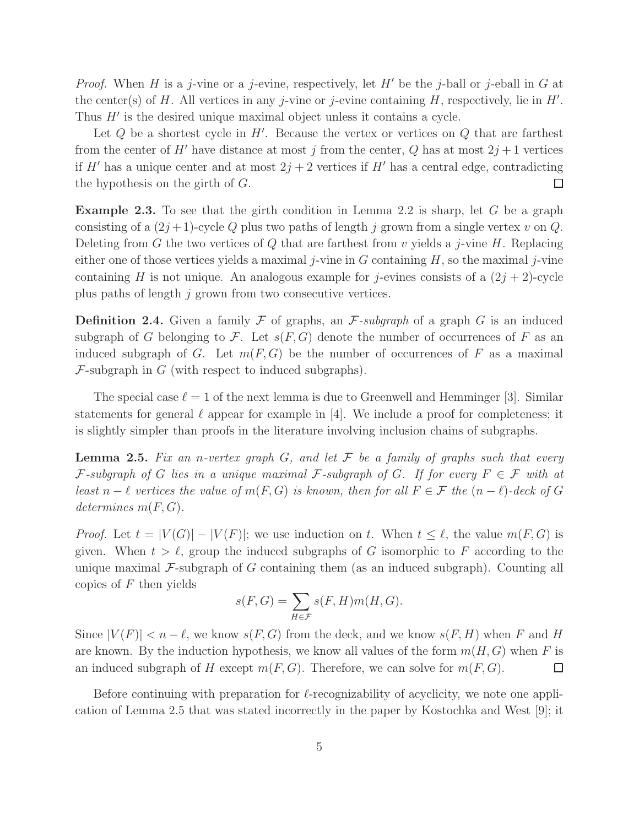*Proof.* When H is a j-vine or a j-evine, respectively, let H' be the j-ball or j-eball in G at the center(s) of H. All vertices in any j-vine or j-evine containing  $H$ , respectively, lie in  $H'$ . Thus  $H'$  is the desired unique maximal object unless it contains a cycle.

Let  $Q$  be a shortest cycle in  $H'$ . Because the vertex or vertices on  $Q$  that are farthest from the center of H' have distance at most j from the center, Q has at most  $2j+1$  vertices if H' has a unique center and at most  $2j + 2$  vertices if H' has a central edge, contradicting  $\Box$ the hypothesis on the girth of G.

**Example 2.3.** To see that the girth condition in Lemma 2.2 is sharp, let G be a graph consisting of a  $(2j+1)$ -cycle Q plus two paths of length j grown from a single vertex v on Q. Deleting from G the two vertices of Q that are farthest from v yields a j-vine H. Replacing either one of those vertices yields a maximal *j*-vine in G containing H, so the maximal *j*-vine containing H is not unique. An analogous example for j-evines consists of a  $(2j + 2)$ -cycle plus paths of length j grown from two consecutive vertices.

**Definition 2.4.** Given a family  $\mathcal F$  of graphs, an  $\mathcal F$ -subgraph of a graph  $G$  is an induced subgraph of G belonging to F. Let  $s(F, G)$  denote the number of occurrences of F as an induced subgraph of G. Let  $m(F, G)$  be the number of occurrences of F as a maximal  $\mathcal{F}$ -subgraph in  $G$  (with respect to induced subgraphs).

The special case  $\ell = 1$  of the next lemma is due to Greenwell and Hemminger [3]. Similar statements for general  $\ell$  appear for example in [4]. We include a proof for completeness; it is slightly simpler than proofs in the literature involving inclusion chains of subgraphs.

**Lemma 2.5.** Fix an n-vertex graph G, and let  $\mathcal F$  be a family of graphs such that every F-subgraph of G lies in a unique maximal F-subgraph of G. If for every  $F \in \mathcal{F}$  with at least  $n - \ell$  vertices the value of  $m(F, G)$  is known, then for all  $F \in \mathcal{F}$  the  $(n - \ell)$ -deck of G determines  $m(F, G)$ .

*Proof.* Let  $t = |V(G)| - |V(F)|$ ; we use induction on t. When  $t \leq \ell$ , the value  $m(F, G)$  is given. When  $t > \ell$ , group the induced subgraphs of G isomorphic to F according to the unique maximal  $\mathcal{F}\text{-subgraph}$  of G containing them (as an induced subgraph). Counting all copies of  $F$  then yields

$$
s(F, G) = \sum_{H \in \mathcal{F}} s(F, H)m(H, G).
$$

Since  $|V(F)| < n - \ell$ , we know  $s(F, G)$  from the deck, and we know  $s(F, H)$  when F and H are known. By the induction hypothesis, we know all values of the form  $m(H, G)$  when F is an induced subgraph of H except  $m(F, G)$ . Therefore, we can solve for  $m(F, G)$ . □

Before continuing with preparation for  $\ell$ -recognizability of acyclicity, we note one application of Lemma 2.5 that was stated incorrectly in the paper by Kostochka and West [9]; it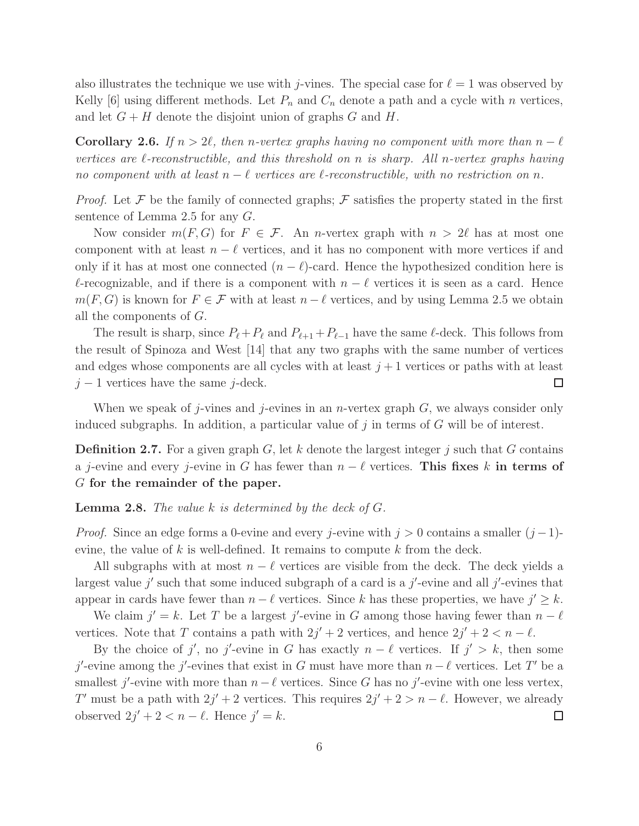also illustrates the technique we use with j-vines. The special case for  $\ell = 1$  was observed by Kelly [6] using different methods. Let  $P_n$  and  $C_n$  denote a path and a cycle with n vertices, and let  $G + H$  denote the disjoint union of graphs G and H.

Corollary 2.6. If  $n > 2\ell$ , then n-vertex graphs having no component with more than  $n - \ell$ vertices are  $\ell$ -reconstructible, and this threshold on n is sharp. All n-vertex graphs having no component with at least  $n - \ell$  vertices are  $\ell$ -reconstructible, with no restriction on n.

*Proof.* Let F be the family of connected graphs; F satisfies the property stated in the first sentence of Lemma 2.5 for any G.

Now consider  $m(F, G)$  for  $F \in \mathcal{F}$ . An *n*-vertex graph with  $n > 2\ell$  has at most one component with at least  $n - \ell$  vertices, and it has no component with more vertices if and only if it has at most one connected  $(n - \ell)$ -card. Hence the hypothesized condition here is  $\ell$ -recognizable, and if there is a component with  $n - \ell$  vertices it is seen as a card. Hence  $m(F, G)$  is known for  $F \in \mathcal{F}$  with at least  $n - \ell$  vertices, and by using Lemma 2.5 we obtain all the components of G.

The result is sharp, since  $P_{\ell} + P_{\ell}$  and  $P_{\ell+1} + P_{\ell-1}$  have the same  $\ell$ -deck. This follows from the result of Spinoza and West [14] that any two graphs with the same number of vertices and edges whose components are all cycles with at least  $j+1$  vertices or paths with at least  $j-1$  vertices have the same j-deck.  $\Box$ 

When we speak of j-vines and j-evines in an *n*-vertex graph  $G$ , we always consider only induced subgraphs. In addition, a particular value of  $j$  in terms of  $G$  will be of interest.

**Definition 2.7.** For a given graph  $G$ , let k denote the largest integer j such that G contains a j-evine and every j-evine in G has fewer than  $n - \ell$  vertices. This fixes k in terms of G for the remainder of the paper.

**Lemma 2.8.** The value  $k$  is determined by the deck of  $G$ .

*Proof.* Since an edge forms a 0-evine and every j-evine with  $j > 0$  contains a smaller  $(j-1)$ evine, the value of k is well-defined. It remains to compute k from the deck.

All subgraphs with at most  $n - \ell$  vertices are visible from the deck. The deck yields a largest value  $j'$  such that some induced subgraph of a card is a  $j'$ -evine and all  $j'$ -evines that appear in cards have fewer than  $n - \ell$  vertices. Since k has these properties, we have  $j' \geq k$ .

We claim  $j' = k$ . Let T be a largest j'-evine in G among those having fewer than  $n - \ell$ vertices. Note that T contains a path with  $2j' + 2$  vertices, and hence  $2j' + 2 < n - \ell$ .

By the choice of j', no j'-evine in G has exactly  $n - \ell$  vertices. If  $j' > k$ , then some j'-evine among the j'-evines that exist in G must have more than  $n - \ell$  vertices. Let T' be a smallest j'-evine with more than  $n - \ell$  vertices. Since G has no j'-evine with one less vertex, T' must be a path with  $2j' + 2$  vertices. This requires  $2j' + 2 > n - \ell$ . However, we already observed  $2j' + 2 < n - \ell$ . Hence  $j' = k$ . □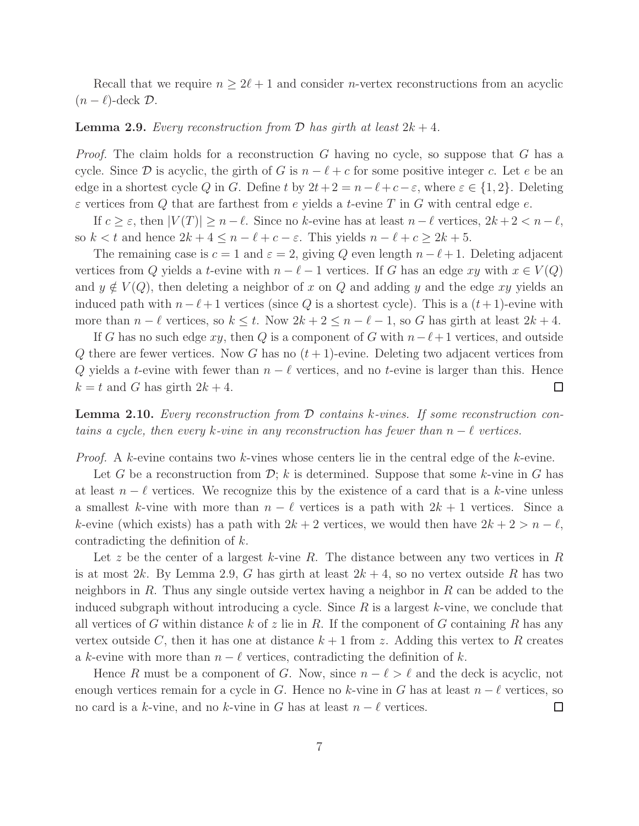Recall that we require  $n \geq 2\ell + 1$  and consider *n*-vertex reconstructions from an acyclic  $(n - \ell)$ -deck  $\mathcal{D}$ .

#### **Lemma 2.9.** Every reconstruction from  $\mathcal{D}$  has girth at least  $2k + 4$ .

*Proof.* The claim holds for a reconstruction  $G$  having no cycle, so suppose that  $G$  has a cycle. Since D is acyclic, the girth of G is  $n - \ell + c$  for some positive integer c. Let e be an edge in a shortest cycle Q in G. Define t by  $2t + 2 = n - \ell + c - \varepsilon$ , where  $\varepsilon \in \{1, 2\}$ . Deleting  $\varepsilon$  vertices from Q that are farthest from e yields a t-evine T in G with central edge e.

If  $c \geq \varepsilon$ , then  $|V(T)| \geq n - \ell$ . Since no k-evine has at least  $n - \ell$  vertices,  $2k + 2 < n - \ell$ , so  $k < t$  and hence  $2k + 4 \leq n - \ell + c - \varepsilon$ . This yields  $n - \ell + c \geq 2k + 5$ .

The remaining case is  $c = 1$  and  $\varepsilon = 2$ , giving Q even length  $n - \ell + 1$ . Deleting adjacent vertices from Q yields a t-evine with  $n - \ell - 1$  vertices. If G has an edge xy with  $x \in V(Q)$ and  $y \notin V(Q)$ , then deleting a neighbor of x on Q and adding y and the edge xy yields an induced path with  $n-\ell+1$  vertices (since Q is a shortest cycle). This is a  $(t+1)$ -evine with more than  $n - \ell$  vertices, so  $k \leq t$ . Now  $2k + 2 \leq n - \ell - 1$ , so G has girth at least  $2k + 4$ .

If G has no such edge xy, then Q is a component of G with  $n-\ell+1$  vertices, and outside Q there are fewer vertices. Now G has no  $(t+1)$ -evine. Deleting two adjacent vertices from Q yields a t-evine with fewer than  $n - \ell$  vertices, and no t-evine is larger than this. Hence  $k = t$  and G has girth  $2k + 4$ . Ш

Lemma 2.10. Every reconstruction from D contains k-vines. If some reconstruction contains a cycle, then every k-vine in any reconstruction has fewer than  $n - \ell$  vertices.

*Proof.* A k-evine contains two k-vines whose centers lie in the central edge of the k-evine.

Let G be a reconstruction from  $\mathcal{D}$ ; k is determined. Suppose that some k-vine in G has at least  $n - \ell$  vertices. We recognize this by the existence of a card that is a k-vine unless a smallest k-vine with more than  $n - \ell$  vertices is a path with  $2k + 1$  vertices. Since a k-evine (which exists) has a path with  $2k + 2$  vertices, we would then have  $2k + 2 > n - \ell$ , contradicting the definition of k.

Let z be the center of a largest k-vine R. The distance between any two vertices in R is at most 2k. By Lemma 2.9, G has girth at least  $2k + 4$ , so no vertex outside R has two neighbors in  $R$ . Thus any single outside vertex having a neighbor in  $R$  can be added to the induced subgraph without introducing a cycle. Since  $R$  is a largest  $k$ -vine, we conclude that all vertices of G within distance k of z lie in R. If the component of G containing R has any vertex outside C, then it has one at distance  $k + 1$  from z. Adding this vertex to R creates a k-evine with more than  $n - \ell$  vertices, contradicting the definition of k.

Hence R must be a component of G. Now, since  $n - \ell > \ell$  and the deck is acyclic, not enough vertices remain for a cycle in G. Hence no k-vine in G has at least  $n - \ell$  vertices, so no card is a k-vine, and no k-vine in G has at least  $n - \ell$  vertices.  $\Box$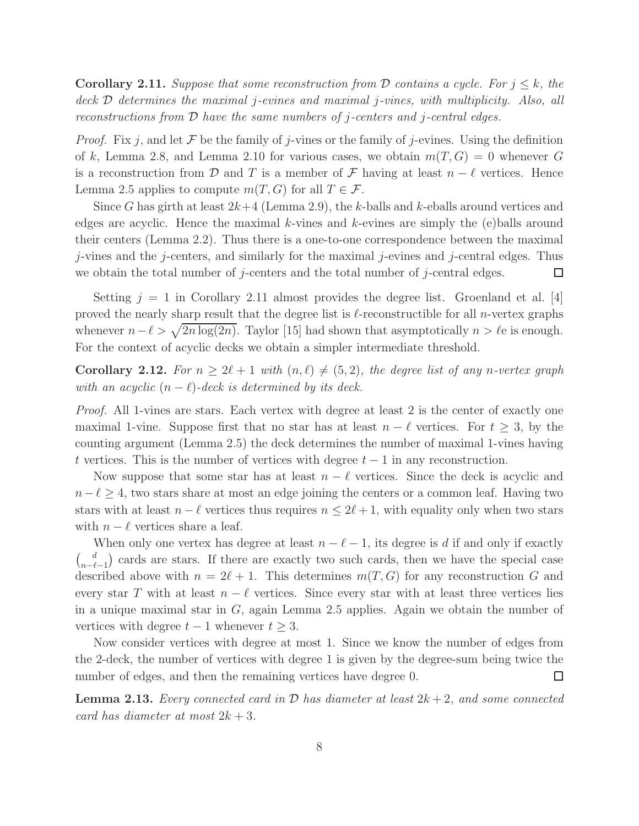**Corollary 2.11.** Suppose that some reconstruction from D contains a cycle. For  $j \leq k$ , the deck  $\mathcal D$  determines the maximal j-evines and maximal j-vines, with multiplicity. Also, all reconstructions from  $\mathcal D$  have the same numbers of j-centers and j-central edges.

*Proof.* Fix j, and let F be the family of j-vines or the family of j-evines. Using the definition of k, Lemma 2.8, and Lemma 2.10 for various cases, we obtain  $m(T, G) = 0$  whenever G is a reconstruction from D and T is a member of F having at least  $n - \ell$  vertices. Hence Lemma 2.5 applies to compute  $m(T, G)$  for all  $T \in \mathcal{F}$ .

Since G has girth at least  $2k+4$  (Lemma 2.9), the k-balls and k-eballs around vertices and edges are acyclic. Hence the maximal  $k$ -vines and  $k$ -evines are simply the (e)balls around their centers (Lemma 2.2). Thus there is a one-to-one correspondence between the maximal j-vines and the j-centers, and similarly for the maximal j-evines and j-central edges. Thus we obtain the total number of j-centers and the total number of j-central edges.  $\Box$ 

Setting  $j = 1$  in Corollary 2.11 almost provides the degree list. Groenland et al. [4] proved the nearly sharp result that the degree list is  $\ell$ -reconstructible for all *n*-vertex graphs whenever  $n - \ell > \sqrt{2n \log(2n)}$ . Taylor [15] had shown that asymptotically  $n > \ell$ e is enough. For the context of acyclic decks we obtain a simpler intermediate threshold.

**Corollary 2.12.** For  $n \geq 2\ell + 1$  with  $(n, \ell) \neq (5, 2)$ , the degree list of any n-vertex graph with an acyclic  $(n - \ell)$ -deck is determined by its deck.

Proof. All 1-vines are stars. Each vertex with degree at least 2 is the center of exactly one maximal 1-vine. Suppose first that no star has at least  $n - \ell$  vertices. For  $t \geq 3$ , by the counting argument (Lemma 2.5) the deck determines the number of maximal 1-vines having t vertices. This is the number of vertices with degree  $t - 1$  in any reconstruction.

Now suppose that some star has at least  $n - \ell$  vertices. Since the deck is acyclic and  $n-\ell \geq 4$ , two stars share at most an edge joining the centers or a common leaf. Having two stars with at least  $n - \ell$  vertices thus requires  $n \leq 2\ell + 1$ , with equality only when two stars with  $n - \ell$  vertices share a leaf.

When only one vertex has degree at least  $n - \ell - 1$ , its degree is d if and only if exactly  $\begin{pmatrix} d \\ d \end{pmatrix}$  $\binom{d}{n-\ell-1}$  cards are stars. If there are exactly two such cards, then we have the special case described above with  $n = 2\ell + 1$ . This determines  $m(T, G)$  for any reconstruction G and every star T with at least  $n - \ell$  vertices. Since every star with at least three vertices lies in a unique maximal star in G, again Lemma 2.5 applies. Again we obtain the number of vertices with degree  $t - 1$  whenever  $t \geq 3$ .

Now consider vertices with degree at most 1. Since we know the number of edges from the 2-deck, the number of vertices with degree 1 is given by the degree-sum being twice the number of edges, and then the remaining vertices have degree 0.  $\Box$ 

**Lemma 2.13.** Every connected card in  $\mathcal{D}$  has diameter at least  $2k+2$ , and some connected card has diameter at most  $2k + 3$ .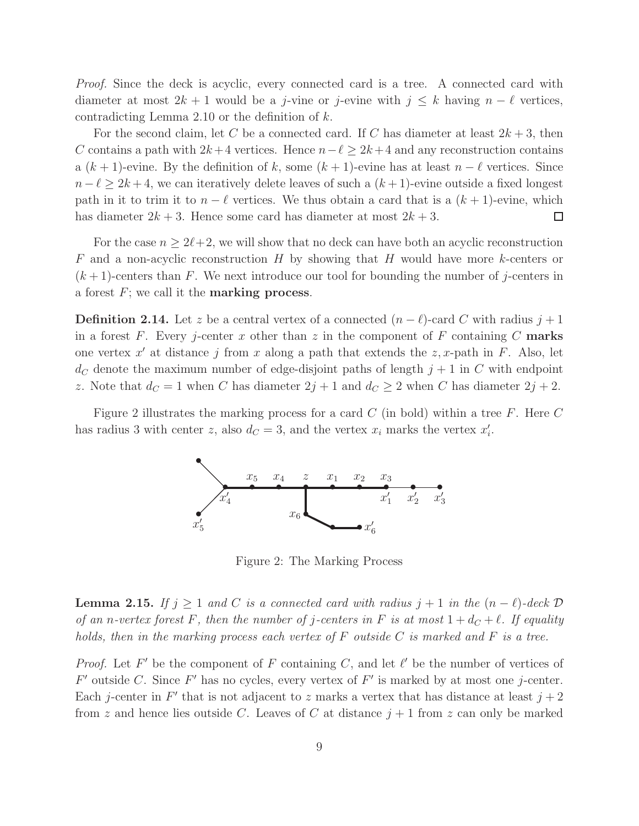Proof. Since the deck is acyclic, every connected card is a tree. A connected card with diameter at most  $2k + 1$  would be a j-vine or j-evine with  $j \leq k$  having  $n - \ell$  vertices, contradicting Lemma 2.10 or the definition of  $k$ .

For the second claim, let C be a connected card. If C has diameter at least  $2k+3$ , then C contains a path with  $2k+4$  vertices. Hence  $n-\ell \geq 2k+4$  and any reconstruction contains a  $(k + 1)$ -evine. By the definition of k, some  $(k + 1)$ -evine has at least  $n - \ell$  vertices. Since  $n - \ell \geq 2k + 4$ , we can iteratively delete leaves of such a  $(k + 1)$ -evine outside a fixed longest path in it to trim it to  $n - \ell$  vertices. We thus obtain a card that is a  $(k + 1)$ -evine, which has diameter  $2k + 3$ . Hence some card has diameter at most  $2k + 3$ .  $\Box$ 

For the case  $n \geq 2\ell+2$ , we will show that no deck can have both an acyclic reconstruction  $F$  and a non-acyclic reconstruction H by showing that H would have more k-centers or  $(k+1)$ -centers than F. We next introduce our tool for bounding the number of j-centers in a forest  $F$ ; we call it the **marking process**.

**Definition 2.14.** Let z be a central vertex of a connected  $(n - \ell)$ -card C with radius  $j + 1$ in a forest F. Every j-center x other than z in the component of F containing C marks one vertex  $x'$  at distance j from x along a path that extends the  $z$ , x-path in F. Also, let  $d_C$  denote the maximum number of edge-disjoint paths of length  $j+1$  in C with endpoint z. Note that  $d_C = 1$  when C has diameter  $2j + 1$  and  $d_C \ge 2$  when C has diameter  $2j + 2$ .

Figure 2 illustrates the marking process for a card C (in bold) within a tree F. Here C has radius 3 with center z, also  $d_C = 3$ , and the vertex  $x_i$  marks the vertex  $x_i'$  $\frac{\prime}{i}$ .



Figure 2: The Marking Process

**Lemma 2.15.** If  $j \geq 1$  and C is a connected card with radius  $j + 1$  in the  $(n - \ell)$ -deck  $D$ of an n-vertex forest F, then the number of j-centers in F is at most  $1 + d_C + \ell$ . If equality holds, then in the marking process each vertex of  $F$  outside  $C$  is marked and  $F$  is a tree.

*Proof.* Let F' be the component of F containing C, and let  $\ell'$  be the number of vertices of  $F'$  outside C. Since  $F'$  has no cycles, every vertex of  $F'$  is marked by at most one j-center. Each j-center in  $F'$  that is not adjacent to z marks a vertex that has distance at least  $j+2$ from z and hence lies outside C. Leaves of C at distance  $j+1$  from z can only be marked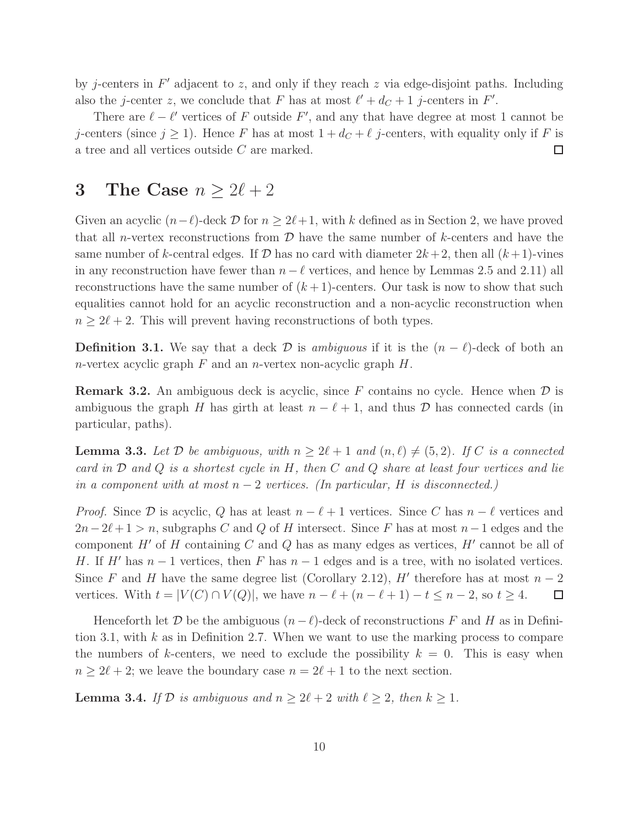by j-centers in  $F'$  adjacent to z, and only if they reach z via edge-disjoint paths. Including also the *j*-center z, we conclude that F has at most  $\ell' + d_C + 1$  *j*-centers in F'.

There are  $\ell - \ell'$  vertices of F outside F', and any that have degree at most 1 cannot be j-centers (since  $j \ge 1$ ). Hence F has at most  $1 + d_C + \ell$  j-centers, with equality only if F is a tree and all vertices outside C are marked. a tree and all vertices outside C are marked.

## 3 The Case  $n \geq 2\ell + 2$

Given an acyclic  $(n-\ell)$ -deck D for  $n \ge 2\ell+1$ , with k defined as in Section 2, we have proved that all n-vertex reconstructions from  $D$  have the same number of k-centers and have the same number of k-central edges. If  $D$  has no card with diameter  $2k+2$ , then all  $(k+1)$ -vines in any reconstruction have fewer than  $n - \ell$  vertices, and hence by Lemmas 2.5 and 2.11) all reconstructions have the same number of  $(k+1)$ -centers. Our task is now to show that such equalities cannot hold for an acyclic reconstruction and a non-acyclic reconstruction when  $n \geq 2\ell + 2$ . This will prevent having reconstructions of both types.

**Definition 3.1.** We say that a deck  $\mathcal{D}$  is ambiguous if it is the  $(n - \ell)$ -deck of both an *n*-vertex acyclic graph  $F$  and an *n*-vertex non-acyclic graph  $H$ .

**Remark 3.2.** An ambiguous deck is acyclic, since F contains no cycle. Hence when  $\mathcal{D}$  is ambiguous the graph H has girth at least  $n - \ell + 1$ , and thus D has connected cards (in particular, paths).

**Lemma 3.3.** Let  $D$  be ambiguous, with  $n \geq 2\ell + 1$  and  $(n, \ell) \neq (5, 2)$ . If C is a connected card in  $D$  and  $Q$  is a shortest cycle in  $H$ , then  $C$  and  $Q$  share at least four vertices and lie in a component with at most  $n-2$  vertices. (In particular, H is disconnected.)

*Proof.* Since D is acyclic, Q has at least  $n - \ell + 1$  vertices. Since C has  $n - \ell$  vertices and  $2n-2\ell+1 > n$ , subgraphs C and Q of H intersect. Since F has at most  $n-1$  edges and the component  $H'$  of  $H$  containing  $C$  and  $Q$  has as many edges as vertices,  $H'$  cannot be all of H. If H' has  $n-1$  vertices, then F has  $n-1$  edges and is a tree, with no isolated vertices. Since F and H have the same degree list (Corollary 2.12), H' therefore has at most  $n-2$ vertices. With  $t = |V(C) \cap V(Q)|$ , we have  $n - \ell + (n - \ell + 1) - t \leq n - 2$ , so  $t \geq 4$ .  $\Box$ 

Henceforth let D be the ambiguous  $(n-\ell)$ -deck of reconstructions F and H as in Definition 3.1, with  $k$  as in Definition 2.7. When we want to use the marking process to compare the numbers of k-centers, we need to exclude the possibility  $k = 0$ . This is easy when  $n \geq 2\ell + 2$ ; we leave the boundary case  $n = 2\ell + 1$  to the next section.

**Lemma 3.4.** If  $D$  is ambiguous and  $n \geq 2\ell + 2$  with  $\ell \geq 2$ , then  $k \geq 1$ .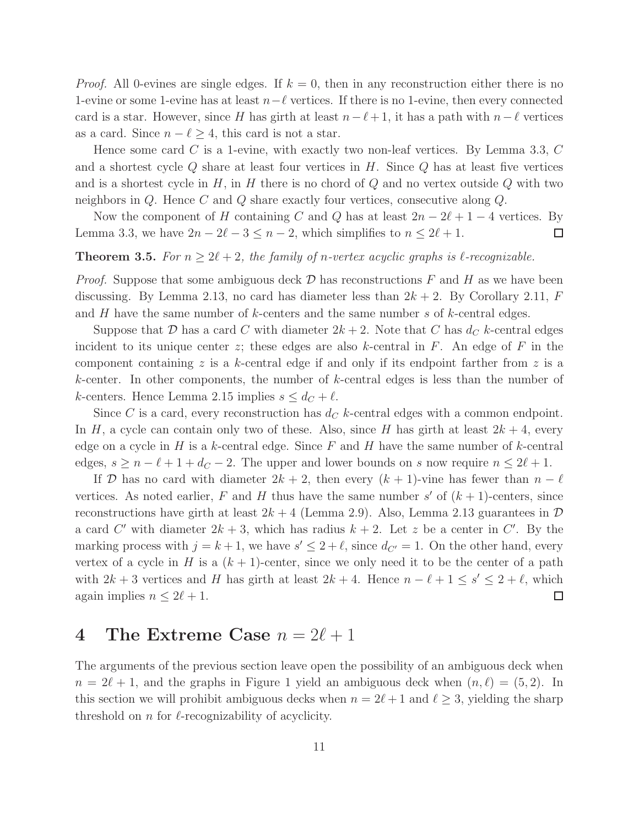*Proof.* All 0-evines are single edges. If  $k = 0$ , then in any reconstruction either there is no 1-evine or some 1-evine has at least  $n-\ell$  vertices. If there is no 1-evine, then every connected card is a star. However, since H has girth at least  $n-\ell+1$ , it has a path with  $n-\ell$  vertices as a card. Since  $n - \ell \geq 4$ , this card is not a star.

Hence some card C is a 1-evine, with exactly two non-leaf vertices. By Lemma 3.3,  $C$ and a shortest cycle  $Q$  share at least four vertices in  $H$ . Since  $Q$  has at least five vertices and is a shortest cycle in  $H$ , in  $H$  there is no chord of  $Q$  and no vertex outside  $Q$  with two neighbors in Q. Hence C and Q share exactly four vertices, consecutive along Q.

Now the component of H containing C and Q has at least  $2n - 2\ell + 1 - 4$  vertices. By Lemma 3.3, we have  $2n - 2\ell - 3 \leq n - 2$ , which simplifies to  $n \leq 2\ell + 1$ .  $\Box$ 

### **Theorem 3.5.** For  $n \geq 2\ell + 2$ , the family of n-vertex acyclic graphs is  $\ell$ -recognizable.

*Proof.* Suppose that some ambiguous deck  $\mathcal D$  has reconstructions  $F$  and  $H$  as we have been discussing. By Lemma 2.13, no card has diameter less than  $2k + 2$ . By Corollary 2.11, F and  $H$  have the same number of  $k$ -centers and the same number  $s$  of  $k$ -central edges.

Suppose that D has a card C with diameter  $2k + 2$ . Note that C has  $d_C$  k-central edges incident to its unique center z; these edges are also k-central in  $F$ . An edge of  $F$  in the component containing z is a k-central edge if and only if its endpoint farther from z is a k-center. In other components, the number of k-central edges is less than the number of k-centers. Hence Lemma 2.15 implies  $s \leq d_C + \ell$ .

Since C is a card, every reconstruction has  $d_C$  k-central edges with a common endpoint. In H, a cycle can contain only two of these. Also, since H has girth at least  $2k + 4$ , every edge on a cycle in  $H$  is a k-central edge. Since  $F$  and  $H$  have the same number of k-central edges,  $s \ge n - \ell + 1 + d_C - 2$ . The upper and lower bounds on s now require  $n \le 2\ell + 1$ .

If D has no card with diameter  $2k + 2$ , then every  $(k + 1)$ -vine has fewer than  $n - \ell$ vertices. As noted earlier, F and H thus have the same number  $s'$  of  $(k + 1)$ -centers, since reconstructions have girth at least  $2k + 4$  (Lemma 2.9). Also, Lemma 2.13 guarantees in  $\mathcal{D}$ a card C' with diameter  $2k + 3$ , which has radius  $k + 2$ . Let z be a center in C'. By the marking process with  $j = k + 1$ , we have  $s' \leq 2 + \ell$ , since  $d_{C'} = 1$ . On the other hand, every vertex of a cycle in H is a  $(k + 1)$ -center, since we only need it to be the center of a path with  $2k + 3$  vertices and H has girth at least  $2k + 4$ . Hence  $n - \ell + 1 \leq s' \leq 2 + \ell$ , which again implies  $n \leq 2\ell + 1$ .  $\Box$ 

### 4 The Extreme Case  $n = 2\ell + 1$

The arguments of the previous section leave open the possibility of an ambiguous deck when  $n = 2\ell + 1$ , and the graphs in Figure 1 yield an ambiguous deck when  $(n, \ell) = (5, 2)$ . In this section we will prohibit ambiguous decks when  $n = 2\ell + 1$  and  $\ell \geq 3$ , yielding the sharp threshold on  $n$  for  $\ell$ -recognizability of acyclicity.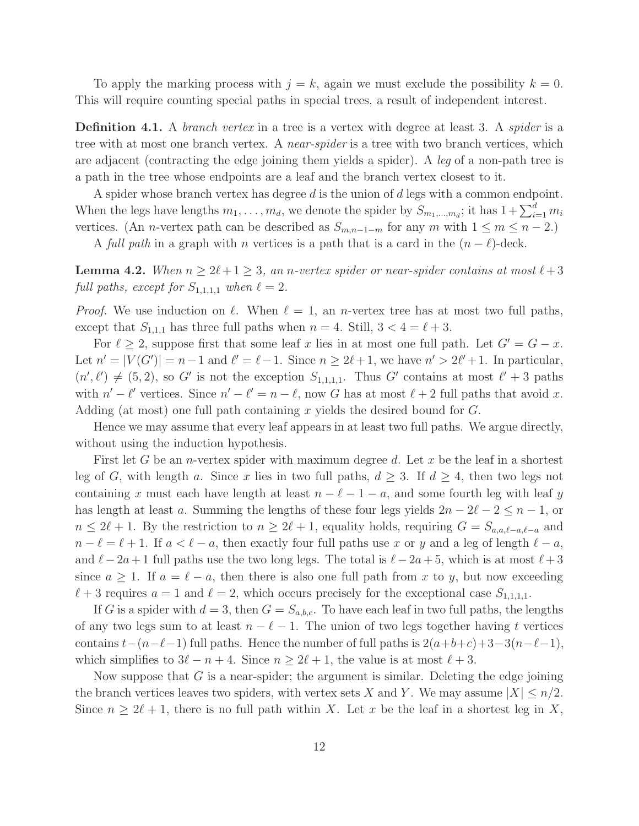To apply the marking process with  $j = k$ , again we must exclude the possibility  $k = 0$ . This will require counting special paths in special trees, a result of independent interest.

**Definition 4.1.** A *branch vertex* in a tree is a vertex with degree at least 3. A *spider* is a tree with at most one branch vertex. A *near-spider* is a tree with two branch vertices, which are adjacent (contracting the edge joining them yields a spider). A leg of a non-path tree is a path in the tree whose endpoints are a leaf and the branch vertex closest to it.

A spider whose branch vertex has degree  $d$  is the union of  $d$  legs with a common endpoint. When the legs have lengths  $m_1, \ldots, m_d$ , we denote the spider by  $S_{m_1,\ldots,m_d}$ ; it has  $1+\sum_{i=1}^d m_i$ vertices. (An *n*-vertex path can be described as  $S_{m,n-1-m}$  for any m with  $1 \leq m \leq n-2$ .)

A full path in a graph with n vertices is a path that is a card in the  $(n - \ell)$ -deck.

**Lemma 4.2.** When  $n \geq 2\ell+1 \geq 3$ , an n-vertex spider or near-spider contains at most  $\ell+3$ full paths, except for  $S_{1,1,1,1}$  when  $\ell = 2$ .

*Proof.* We use induction on  $\ell$ . When  $\ell = 1$ , an *n*-vertex tree has at most two full paths, except that  $S_{1,1,1}$  has three full paths when  $n = 4$ . Still,  $3 < 4 = \ell + 3$ .

For  $\ell \geq 2$ , suppose first that some leaf x lies in at most one full path. Let  $G' = G - x$ . Let  $n' = |V(G')| = n - 1$  and  $\ell' = \ell - 1$ . Since  $n \ge 2\ell + 1$ , we have  $n' > 2\ell' + 1$ . In particular,  $(n', \ell') \neq (5, 2)$ , so G' is not the exception  $S_{1,1,1,1}$ . Thus G' contains at most  $\ell' + 3$  paths with  $n' - \ell'$  vertices. Since  $n' - \ell' = n - \ell$ , now G has at most  $\ell + 2$  full paths that avoid x. Adding (at most) one full path containing x yields the desired bound for G.

Hence we may assume that every leaf appears in at least two full paths. We argue directly, without using the induction hypothesis.

First let G be an *n*-vertex spider with maximum degree d. Let x be the leaf in a shortest leg of G, with length a. Since x lies in two full paths,  $d \geq 3$ . If  $d \geq 4$ , then two legs not containing x must each have length at least  $n - \ell - 1 - a$ , and some fourth leg with leaf y has length at least a. Summing the lengths of these four legs yields  $2n - 2\ell - 2 \leq n - 1$ , or  $n \leq 2\ell+1$ . By the restriction to  $n \geq 2\ell+1$ , equality holds, requiring  $G = S_{a,a,\ell-a,\ell-a}$  and  $n - \ell = \ell + 1$ . If  $a < \ell - a$ , then exactly four full paths use x or y and a leg of length  $\ell - a$ , and  $\ell-2a+1$  full paths use the two long legs. The total is  $\ell-2a+5$ , which is at most  $\ell+3$ since  $a \geq 1$ . If  $a = \ell - a$ , then there is also one full path from x to y, but now exceeding  $\ell + 3$  requires  $a = 1$  and  $\ell = 2$ , which occurs precisely for the exceptional case  $S_{1,1,1,1}$ .

If G is a spider with  $d = 3$ , then  $G = S_{a,b,c}$ . To have each leaf in two full paths, the lengths of any two legs sum to at least  $n - \ell - 1$ . The union of two legs together having t vertices contains  $t-(n-\ell-1)$  full paths. Hence the number of full paths is  $2(a+b+c)+3-3(n-\ell-1)$ , which simplifies to  $3\ell - n + 4$ . Since  $n \ge 2\ell + 1$ , the value is at most  $\ell + 3$ .

Now suppose that G is a near-spider; the argument is similar. Deleting the edge joining the branch vertices leaves two spiders, with vertex sets X and Y. We may assume  $|X| \le n/2$ . Since  $n \geq 2\ell + 1$ , there is no full path within X. Let x be the leaf in a shortest leg in X,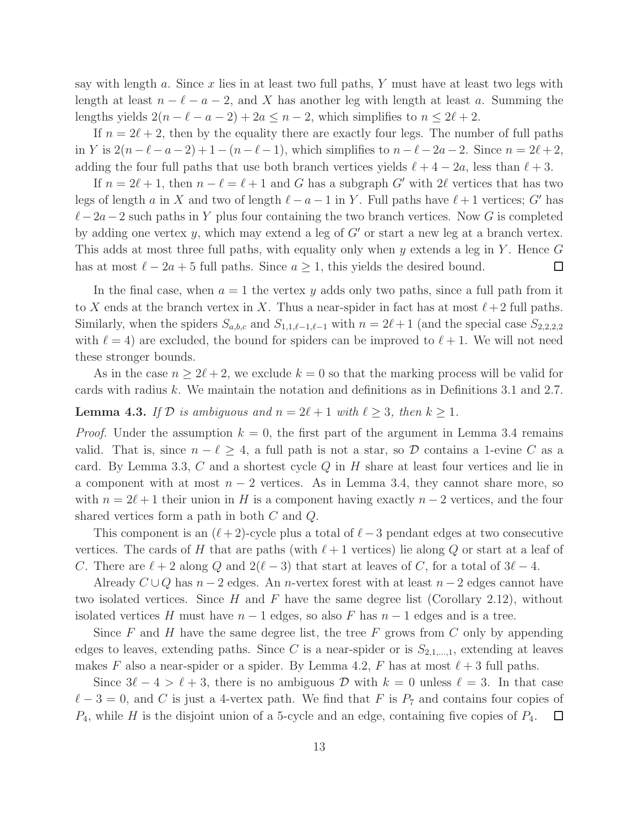say with length a. Since  $x$  lies in at least two full paths,  $Y$  must have at least two legs with length at least  $n - \ell - a - 2$ , and X has another leg with length at least a. Summing the lengths yields  $2(n - \ell - a - 2) + 2a \leq n - 2$ , which simplifies to  $n \leq 2\ell + 2$ .

If  $n = 2\ell + 2$ , then by the equality there are exactly four legs. The number of full paths in Y is  $2(n-\ell-a-2)+1-(n-\ell-1)$ , which simplifies to  $n-\ell-2a-2$ . Since  $n=2\ell+2$ , adding the four full paths that use both branch vertices yields  $\ell + 4 - 2a$ , less than  $\ell + 3$ .

If  $n = 2\ell + 1$ , then  $n - \ell = \ell + 1$  and G has a subgraph G' with  $2\ell$  vertices that has two legs of length a in X and two of length  $\ell - a - 1$  in Y. Full paths have  $\ell + 1$  vertices; G' has  $\ell-2a-2$  such paths in Y plus four containing the two branch vertices. Now G is completed by adding one vertex y, which may extend a leg of  $G'$  or start a new leg at a branch vertex. This adds at most three full paths, with equality only when y extends a leg in Y. Hence  $G$ has at most  $\ell - 2a + 5$  full paths. Since  $a \geq 1$ , this yields the desired bound.  $\Box$ 

In the final case, when  $a = 1$  the vertex y adds only two paths, since a full path from it to X ends at the branch vertex in X. Thus a near-spider in fact has at most  $\ell+2$  full paths. Similarly, when the spiders  $S_{a,b,c}$  and  $S_{1,1,\ell-1,\ell-1}$  with  $n = 2\ell+1$  (and the special case  $S_{2,2,2,2}$ with  $\ell = 4$ ) are excluded, the bound for spiders can be improved to  $\ell + 1$ . We will not need these stronger bounds.

As in the case  $n \geq 2\ell + 2$ , we exclude  $k = 0$  so that the marking process will be valid for cards with radius k. We maintain the notation and definitions as in Definitions 3.1 and 2.7.

**Lemma 4.3.** If  $D$  is ambiguous and  $n = 2\ell + 1$  with  $\ell \geq 3$ , then  $k \geq 1$ .

*Proof.* Under the assumption  $k = 0$ , the first part of the argument in Lemma 3.4 remains valid. That is, since  $n - \ell \geq 4$ , a full path is not a star, so  $D$  contains a 1-evine C as a card. By Lemma 3.3,  $C$  and a shortest cycle  $Q$  in  $H$  share at least four vertices and lie in a component with at most  $n-2$  vertices. As in Lemma 3.4, they cannot share more, so with  $n = 2\ell + 1$  their union in H is a component having exactly  $n - 2$  vertices, and the four shared vertices form a path in both C and Q.

This component is an  $(\ell+2)$ -cycle plus a total of  $\ell-3$  pendant edges at two consecutive vertices. The cards of H that are paths (with  $\ell+1$  vertices) lie along Q or start at a leaf of C. There are  $\ell + 2$  along Q and  $2(\ell - 3)$  that start at leaves of C, for a total of  $3\ell - 4$ .

Already  $C \cup Q$  has  $n-2$  edges. An n-vertex forest with at least  $n-2$  edges cannot have two isolated vertices. Since H and F have the same degree list (Corollary 2.12), without isolated vertices H must have  $n - 1$  edges, so also F has  $n - 1$  edges and is a tree.

Since  $F$  and  $H$  have the same degree list, the tree  $F$  grows from  $C$  only by appending edges to leaves, extending paths. Since C is a near-spider or is  $S_{2,1,\dots,1}$ , extending at leaves makes F also a near-spider or a spider. By Lemma 4.2, F has at most  $\ell + 3$  full paths.

Since  $3\ell - 4 > \ell + 3$ , there is no ambiguous D with  $k = 0$  unless  $\ell = 3$ . In that case  $\ell-3=0$ , and C is just a 4-vertex path. We find that F is  $P_7$  and contains four copies of  $P_4$ , while H is the disjoint union of a 5-cycle and an edge, containing five copies of  $P_4$ .  $\Box$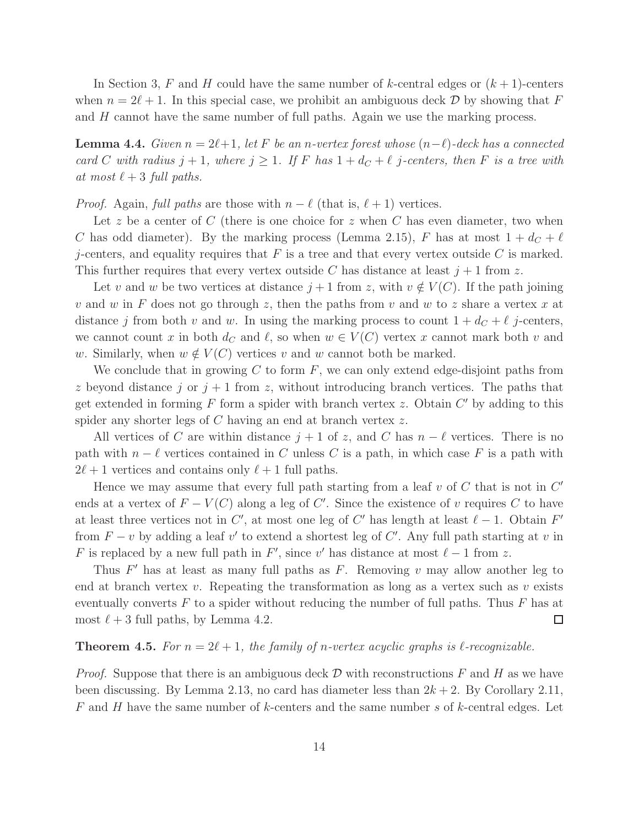In Section 3, F and H could have the same number of k-central edges or  $(k+1)$ -centers when  $n = 2\ell + 1$ . In this special case, we prohibit an ambiguous deck D by showing that F and H cannot have the same number of full paths. Again we use the marking process.

**Lemma 4.4.** Given  $n = 2\ell+1$ , let F be an n-vertex forest whose  $(n-\ell)$ -deck has a connected card C with radius  $j + 1$ , where  $j \ge 1$ . If F has  $1 + d_C + \ell$  j-centers, then F is a tree with at most  $\ell + 3$  full paths.

*Proof.* Again, full paths are those with  $n - \ell$  (that is,  $\ell + 1$ ) vertices.

Let z be a center of C (there is one choice for z when C has even diameter, two when C has odd diameter). By the marking process (Lemma 2.15), F has at most  $1 + d_C + \ell$ j-centers, and equality requires that  $F$  is a tree and that every vertex outside  $C$  is marked. This further requires that every vertex outside C has distance at least  $j + 1$  from z.

Let v and w be two vertices at distance  $j + 1$  from z, with  $v \notin V(C)$ . If the path joining v and w in F does not go through z, then the paths from v and w to z share a vertex x at distance j from both v and w. In using the marking process to count  $1 + d_C + \ell$  j-centers, we cannot count x in both  $d_C$  and  $\ell$ , so when  $w \in V(C)$  vertex x cannot mark both v and w. Similarly, when  $w \notin V(C)$  vertices v and w cannot both be marked.

We conclude that in growing C to form  $F$ , we can only extend edge-disjoint paths from z beyond distance j or  $j + 1$  from z, without introducing branch vertices. The paths that get extended in forming  $F$  form a spider with branch vertex  $z$ . Obtain  $C'$  by adding to this spider any shorter legs of C having an end at branch vertex z.

All vertices of C are within distance  $j + 1$  of z, and C has  $n - \ell$  vertices. There is no path with  $n - \ell$  vertices contained in C unless C is a path, in which case F is a path with  $2\ell+1$  vertices and contains only  $\ell+1$  full paths.

Hence we may assume that every full path starting from a leaf  $v$  of  $C$  that is not in  $C'$ ends at a vertex of  $F - V(C)$  along a leg of C'. Since the existence of v requires C to have at least three vertices not in  $C'$ , at most one leg of  $C'$  has length at least  $\ell - 1$ . Obtain  $F'$ from  $F - v$  by adding a leaf v' to extend a shortest leg of C'. Any full path starting at v in F is replaced by a new full path in F', since v' has distance at most  $\ell - 1$  from z.

Thus  $F'$  has at least as many full paths as  $F$ . Removing  $v$  may allow another leg to end at branch vertex  $v$ . Repeating the transformation as long as a vertex such as  $v$  exists eventually converts  $F$  to a spider without reducing the number of full paths. Thus  $F$  has at most  $\ell + 3$  full paths, by Lemma 4.2.  $\Box$ 

#### **Theorem 4.5.** For  $n = 2\ell + 1$ , the family of n-vertex acyclic graphs is  $\ell$ -recognizable.

*Proof.* Suppose that there is an ambiguous deck  $\mathcal D$  with reconstructions F and H as we have been discussing. By Lemma 2.13, no card has diameter less than  $2k + 2$ . By Corollary 2.11, F and H have the same number of k-centers and the same number s of k-central edges. Let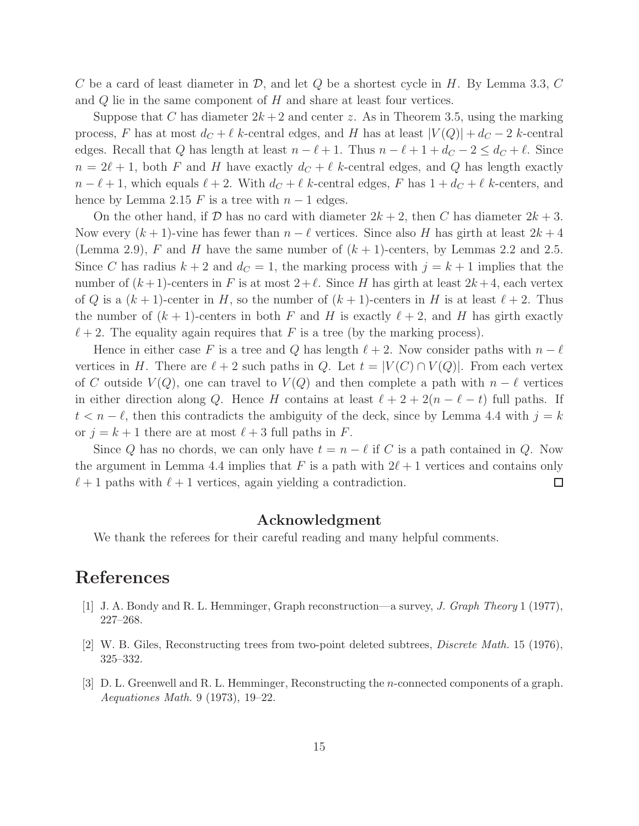C be a card of least diameter in  $\mathcal{D}$ , and let  $Q$  be a shortest cycle in H. By Lemma 3.3, C and  $Q$  lie in the same component of  $H$  and share at least four vertices.

Suppose that C has diameter  $2k+2$  and center z. As in Theorem 3.5, using the marking process, F has at most  $d_C + \ell$  k-central edges, and H has at least  $|V(Q)| + d_C - 2$  k-central edges. Recall that Q has length at least  $n - \ell + 1$ . Thus  $n - \ell + 1 + d_C - 2 \leq d_C + \ell$ . Since  $n = 2\ell + 1$ , both F and H have exactly  $d_C + \ell$  k-central edges, and Q has length exactly  $n - \ell + 1$ , which equals  $\ell + 2$ . With  $d_C + \ell$  k-central edges, F has  $1 + d_C + \ell$  k-centers, and hence by Lemma 2.15 F is a tree with  $n-1$  edges.

On the other hand, if D has no card with diameter  $2k + 2$ , then C has diameter  $2k + 3$ . Now every  $(k+1)$ -vine has fewer than  $n-\ell$  vertices. Since also H has girth at least  $2k+4$ (Lemma 2.9), F and H have the same number of  $(k + 1)$ -centers, by Lemmas 2.2 and 2.5. Since C has radius  $k + 2$  and  $d_C = 1$ , the marking process with  $j = k + 1$  implies that the number of  $(k+1)$ -centers in F is at most  $2+\ell$ . Since H has girth at least  $2k+4$ , each vertex of Q is a  $(k+1)$ -center in H, so the number of  $(k+1)$ -centers in H is at least  $\ell + 2$ . Thus the number of  $(k + 1)$ -centers in both F and H is exactly  $\ell + 2$ , and H has girth exactly  $\ell+2$ . The equality again requires that F is a tree (by the marking process).

Hence in either case F is a tree and Q has length  $\ell + 2$ . Now consider paths with  $n - \ell$ vertices in H. There are  $\ell + 2$  such paths in Q. Let  $t = |V(C) \cap V(Q)|$ . From each vertex of C outside  $V(Q)$ , one can travel to  $V(Q)$  and then complete a path with  $n - \ell$  vertices in either direction along Q. Hence H contains at least  $\ell + 2 + 2(n - \ell - t)$  full paths. If  $t < n - \ell$ , then this contradicts the ambiguity of the deck, since by Lemma 4.4 with  $j = k$ or  $j = k + 1$  there are at most  $\ell + 3$  full paths in F.

Since Q has no chords, we can only have  $t = n - \ell$  if C is a path contained in Q. Now the argument in Lemma 4.4 implies that F is a path with  $2\ell+1$  vertices and contains only  $\ell+1$  paths with  $\ell+1$  vertices, again yielding a contradiction.  $\Box$ 

#### Acknowledgment

We thank the referees for their careful reading and many helpful comments.

## References

- [1] J. A. Bondy and R. L. Hemminger, Graph reconstruction—a survey, *J. Graph Theory* 1 (1977), 227–268.
- [2] W. B. Giles, Reconstructing trees from two-point deleted subtrees, *Discrete Math.* 15 (1976), 325–332.
- [3] D. L. Greenwell and R. L. Hemminger, Reconstructing the n-connected components of a graph. *Aequationes Math.* 9 (1973), 19–22.